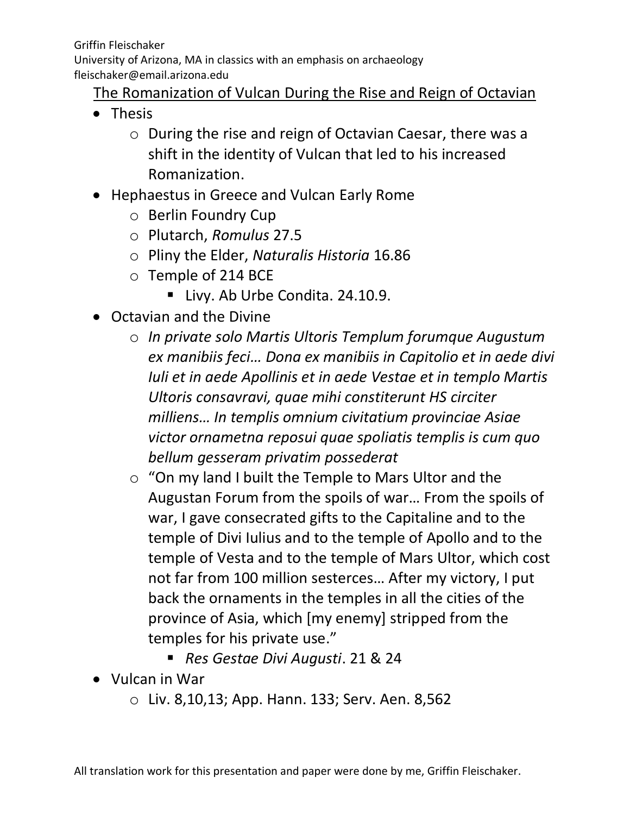Griffin Fleischaker University of Arizona, MA in classics with an emphasis on archaeology fleischaker@email.arizona.edu

## The Romanization of Vulcan During the Rise and Reign of Octavian

- Thesis
	- o During the rise and reign of Octavian Caesar, there was a shift in the identity of Vulcan that led to his increased Romanization.
- Hephaestus in Greece and Vulcan Early Rome
	- o Berlin Foundry Cup
	- o Plutarch, *Romulus* 27.5
	- o Pliny the Elder, *Naturalis Historia* 16.86
	- o Temple of 214 BCE
		- **E** Livy. Ab Urbe Condita. 24.10.9.
- Octavian and the Divine
	- o *In private solo Martis Ultoris Templum forumque Augustum ex manibiis feci… Dona ex manibiis in Capitolio et in aede divi Iuli et in aede Apollinis et in aede Vestae et in templo Martis Ultoris consavravi, quae mihi constiterunt HS circiter milliens… In templis omnium civitatium provinciae Asiae victor ornametna reposui quae spoliatis templis is cum quo bellum gesseram privatim possederat*
	- o "On my land I built the Temple to Mars Ultor and the Augustan Forum from the spoils of war… From the spoils of war, I gave consecrated gifts to the Capitaline and to the temple of Divi Iulius and to the temple of Apollo and to the temple of Vesta and to the temple of Mars Ultor, which cost not far from 100 million sesterces… After my victory, I put back the ornaments in the temples in all the cities of the province of Asia, which [my enemy] stripped from the temples for his private use."
		- *Res Gestae Divi Augusti*. 21 & 24
- Vulcan in War
	- o Liv. 8,10,13; App. Hann. 133; Serv. Aen. 8,562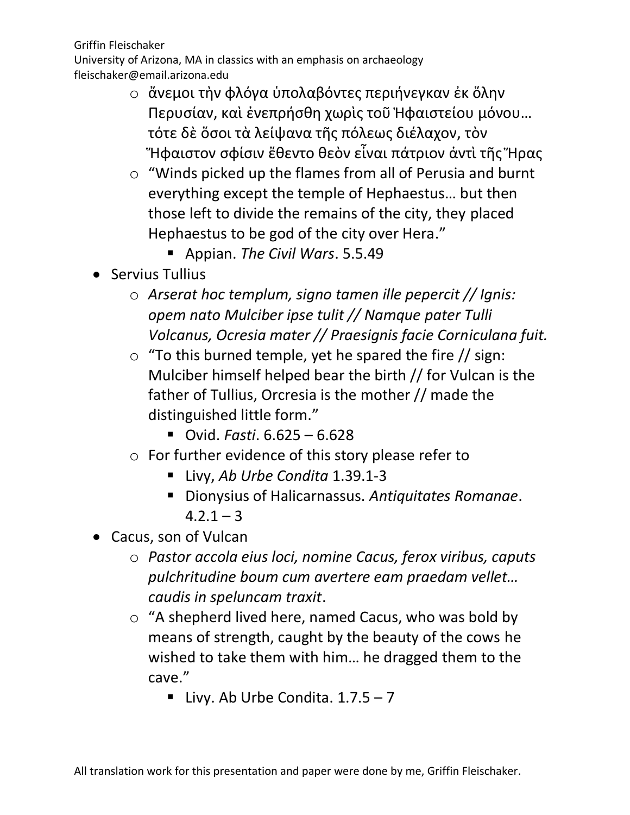- o ἄνεμοι τὴν φλόγα ὑπολαβόντες περιήνεγκαν ἐκ ὅλην Περυσίαν, καὶ ἐνεπρήσθη χωρὶς τοῦ Ἡφαιστείου μόνου… τότε δὲ ὅσοι τὰ λείψανα τῆς πόλεως διέλαχον, τὸν Ἥφαιστον σφίσιν ἔθεντο θεὸν εἶναι πάτριον ἀντὶ τῆς Ἥρας
- o "Winds picked up the flames from all of Perusia and burnt everything except the temple of Hephaestus… but then those left to divide the remains of the city, they placed Hephaestus to be god of the city over Hera."
	- Appian. *The Civil Wars*. 5.5.49
- Servius Tullius
	- o *Arserat hoc templum, signo tamen ille pepercit // Ignis: opem nato Mulciber ipse tulit // Namque pater Tulli Volcanus, Ocresia mater // Praesignis facie Corniculana fuit.*
	- $\circ$  "To this burned temple, yet he spared the fire // sign: Mulciber himself helped bear the birth // for Vulcan is the father of Tullius, Orcresia is the mother // made the distinguished little form."
		- Ovid. *Fasti*. 6.625 6.628
	- o For further evidence of this story please refer to
		- Livy, *Ab Urbe Condita* 1.39.1-3
		- Dionysius of Halicarnassus. *Antiquitates Romanae*.  $4.2.1 - 3$
- Cacus, son of Vulcan
	- o *Pastor accola eius loci, nomine Cacus, ferox viribus, caputs pulchritudine boum cum avertere eam praedam vellet… caudis in speluncam traxit*.
	- o "A shepherd lived here, named Cacus, who was bold by means of strength, caught by the beauty of the cows he wished to take them with him… he dragged them to the cave."
		- **E** Livy. Ab Urbe Condita.  $1.7.5 7$